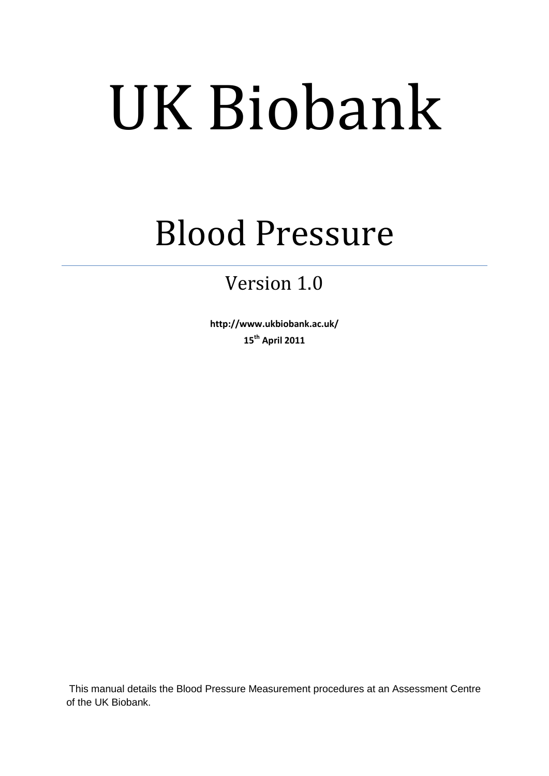# UK Biobank

## Blood Pressure

### Version 1.0

**http://www.ukbiobank.ac.uk/ 15th April 2011**

This manual details the Blood Pressure Measurement procedures at an Assessment Centre of the UK Biobank.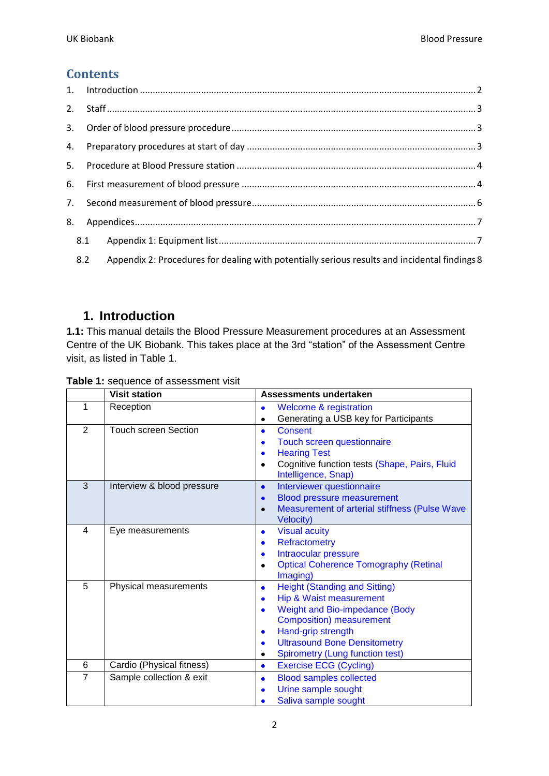#### **Contents**

| 8.1 |     |                                                                                               |  |  |  |
|-----|-----|-----------------------------------------------------------------------------------------------|--|--|--|
|     | 8.2 | Appendix 2: Procedures for dealing with potentially serious results and incidental findings 8 |  |  |  |

#### <span id="page-1-0"></span>**1. Introduction**

**1.1:** This manual details the Blood Pressure Measurement procedures at an Assessment Centre of the UK Biobank. This takes place at the 3rd "station" of the Assessment Centre visit, as listed in Table 1.

|                | <b>Visit station</b>        | Assessments undertaken                                                            |
|----------------|-----------------------------|-----------------------------------------------------------------------------------|
| 1              | Reception                   | <b>Welcome &amp; registration</b><br>$\bullet$                                    |
|                |                             | Generating a USB key for Participants<br>٠                                        |
| 2              | <b>Touch screen Section</b> | <b>Consent</b><br>$\bullet$                                                       |
|                |                             | Touch screen questionnaire<br>$\bullet$                                           |
|                |                             | <b>Hearing Test</b><br>$\bullet$                                                  |
|                |                             | Cognitive function tests (Shape, Pairs, Fluid<br>$\bullet$<br>Intelligence, Snap) |
| 3              | Interview & blood pressure  | Interviewer questionnaire<br>$\bullet$                                            |
|                |                             | <b>Blood pressure measurement</b><br>$\bullet$                                    |
|                |                             | Measurement of arterial stiffness (Pulse Wave<br>$\bullet$<br><b>Velocity)</b>    |
| 4              | Eye measurements            | <b>Visual acuity</b><br>$\bullet$                                                 |
|                |                             | Refractometry<br>$\bullet$                                                        |
|                |                             | Intraocular pressure<br>$\bullet$                                                 |
|                |                             | <b>Optical Coherence Tomography (Retinal</b><br>$\bullet$                         |
|                |                             | Imaging)                                                                          |
| 5              | Physical measurements       | <b>Height (Standing and Sitting)</b><br>$\bullet$                                 |
|                |                             | Hip & Waist measurement<br>$\bullet$                                              |
|                |                             | <b>Weight and Bio-impedance (Body</b><br>$\bullet$                                |
|                |                             | <b>Composition) measurement</b>                                                   |
|                |                             | Hand-grip strength<br>$\bullet$                                                   |
|                |                             | <b>Ultrasound Bone Densitometry</b><br>$\bullet$                                  |
|                |                             | <b>Spirometry (Lung function test)</b><br>٠                                       |
| 6              | Cardio (Physical fitness)   | <b>Exercise ECG (Cycling)</b><br>$\bullet$                                        |
| $\overline{7}$ | Sample collection & exit    | <b>Blood samples collected</b><br>$\bullet$                                       |
|                |                             | Urine sample sought<br>$\bullet$                                                  |
|                |                             | Saliva sample sought                                                              |

#### **Table 1:** sequence of assessment visit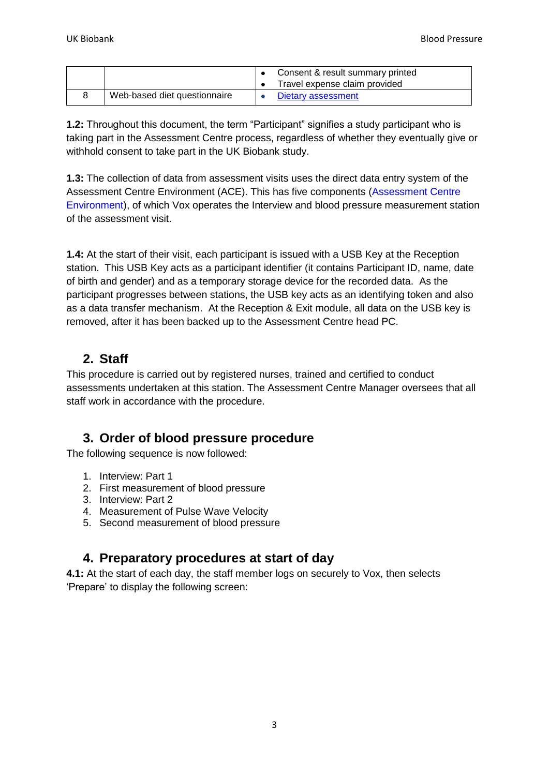|                              | Consent & result summary printed<br>Travel expense claim provided |
|------------------------------|-------------------------------------------------------------------|
| Web-based diet questionnaire | Dietary assessment                                                |

**1.2:** Throughout this document, the term "Participant" signifies a study participant who is taking part in the Assessment Centre process, regardless of whether they eventually give or withhold consent to take part in the UK Biobank study.

**1.3:** The collection of data from assessment visits uses the direct data entry system of the Assessment Centre Environment (ACE). This has five components (Assessment Centre Environment), of which Vox operates the Interview and blood pressure measurement station of the assessment visit.

**1.4:** At the start of their visit, each participant is issued with a USB Key at the Reception station. This USB Key acts as a participant identifier (it contains Participant ID, name, date of birth and gender) and as a temporary storage device for the recorded data. As the participant progresses between stations, the USB key acts as an identifying token and also as a data transfer mechanism. At the Reception & Exit module, all data on the USB key is removed, after it has been backed up to the Assessment Centre head PC.

#### <span id="page-2-0"></span>**2. Staff**

This procedure is carried out by registered nurses, trained and certified to conduct assessments undertaken at this station. The Assessment Centre Manager oversees that all staff work in accordance with the procedure.

#### <span id="page-2-1"></span>**3. Order of blood pressure procedure**

The following sequence is now followed:

- 1. Interview: Part 1
- 2. First measurement of blood pressure
- 3. Interview: Part 2
- 4. Measurement of Pulse Wave Velocity
- <span id="page-2-2"></span>5. Second measurement of blood pressure

#### **4. Preparatory procedures at start of day**

**4.1:** At the start of each day, the staff member logs on securely to Vox, then selects "Prepare" to display the following screen: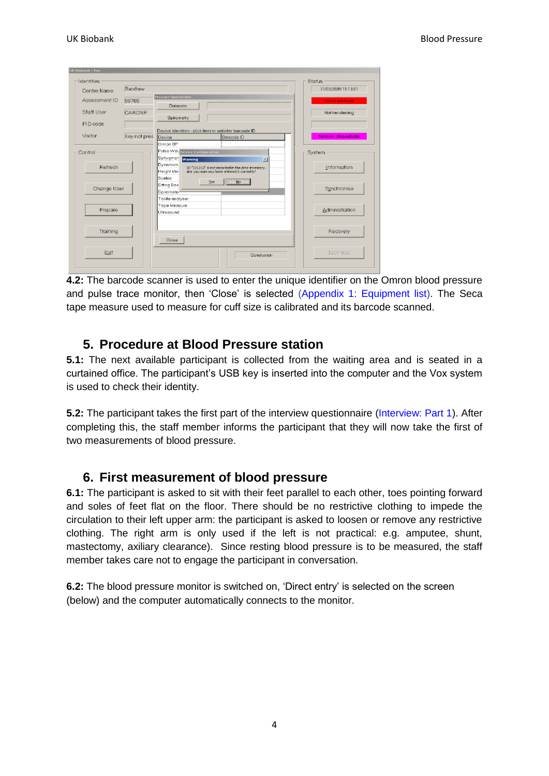| - Identities<br>Centre Name | Renfrew      |                                                                                                                                       | - Status<br>31/03/2009 15:13:01 |
|-----------------------------|--------------|---------------------------------------------------------------------------------------------------------------------------------------|---------------------------------|
| Assessment ID               | 98765        | <b>Prepare Operations</b><br><b>Datasets</b>                                                                                          | Head unknown                    |
| Staff User                  | CARDNP       | Spirometry                                                                                                                            | Nottransferring                 |
| PID code                    |              |                                                                                                                                       |                                 |
| Visitor                     | Key not pres | Device Identities - dick item to set/alter barcode ID<br>Device<br>Bercode ID<br>Omron BP                                             | Network Uneveilable             |
| Control                     |              | Pulse Web Device Configuration<br>Sphygmor warning<br>$\mathbb{R}$                                                                    | System                          |
| Refresh                     |              | Dynamom<br>ID "121212" is not recorded in the cinic inventory.<br>Height Mei<br>Are you sure you have entered it correctly?<br>Scales | Information                     |
| Change User                 |              | 140<br>165<br>Sitting Box<br>Spirameter<br>Tonito on olyser                                                                           | Synchronise                     |
| Prepare                     |              | Tope Measure<br><b>Ultresqund</b>                                                                                                     | Administration                  |
| Training                    |              | Close                                                                                                                                 | Recovery                        |
| Exit                        |              | Conclusion                                                                                                                            | Technical                       |

**4.2:** The barcode scanner is used to enter the unique identifier on the Omron blood pressure and pulse trace monitor, then "Close" is selected [\(Appendix 1: Equipment list\)](#page-6-1). The Seca tape measure used to measure for cuff size is calibrated and its barcode scanned.

#### <span id="page-3-0"></span>**5. Procedure at Blood Pressure station**

**5.1:** The next available participant is collected from the waiting area and is seated in a curtained office. The participant"s USB key is inserted into the computer and the Vox system is used to check their identity.

**5.2:** The participant takes the first part of the interview questionnaire (Interview: Part 1). After completing this, the staff member informs the participant that they will now take the first of two measurements of blood pressure.

#### <span id="page-3-1"></span>**6. First measurement of blood pressure**

**6.1:** The participant is asked to sit with their feet parallel to each other, toes pointing forward and soles of feet flat on the floor. There should be no restrictive clothing to impede the circulation to their left upper arm: the participant is asked to loosen or remove any restrictive clothing. The right arm is only used if the left is not practical: e.g. amputee, shunt, mastectomy, axiliary clearance). Since resting blood pressure is to be measured, the staff member takes care not to engage the participant in conversation.

**6.2:** The blood pressure monitor is switched on, "Direct entry" is selected on the screen (below) and the computer automatically connects to the monitor.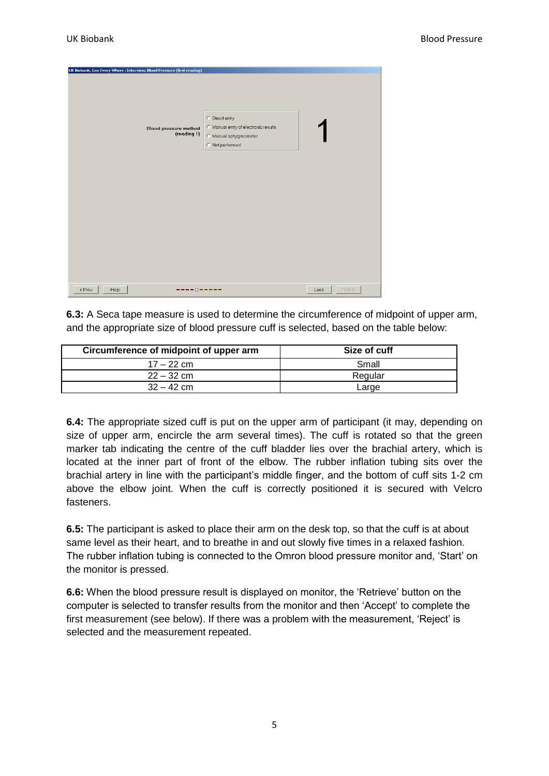| UK Biobank, Gen Every Where: Interview, Blood Pressure (first reading)<br>Blood pressure method<br>(reading 1) | C Direct entry<br>C Manual entry of electronic results<br>C Manual sphygmometer<br>C Not performed |                |
|----------------------------------------------------------------------------------------------------------------|----------------------------------------------------------------------------------------------------|----------------|
| Help<br>< Prev                                                                                                 | - 0 - - - - -                                                                                      | Next ><br>Lock |

**6.3:** A Seca tape measure is used to determine the circumference of midpoint of upper arm, and the appropriate size of blood pressure cuff is selected, based on the table below:

| Circumference of midpoint of upper arm | Size of cuff |
|----------------------------------------|--------------|
| $17 - 22$ cm                           | Small        |
| $22 - 32$ cm                           | Regular      |
| $32 - 42$ cm                           | Large        |

**6.4:** The appropriate sized cuff is put on the upper arm of participant (it may, depending on size of upper arm, encircle the arm several times). The cuff is rotated so that the green marker tab indicating the centre of the cuff bladder lies over the brachial artery, which is located at the inner part of front of the elbow. The rubber inflation tubing sits over the brachial artery in line with the participant"s middle finger, and the bottom of cuff sits 1-2 cm above the elbow joint. When the cuff is correctly positioned it is secured with Velcro fasteners.

**6.5:** The participant is asked to place their arm on the desk top, so that the cuff is at about same level as their heart, and to breathe in and out slowly five times in a relaxed fashion. The rubber inflation tubing is connected to the Omron blood pressure monitor and, "Start" on the monitor is pressed.

**6.6:** When the blood pressure result is displayed on monitor, the "Retrieve" button on the computer is selected to transfer results from the monitor and then "Accept" to complete the first measurement (see below). If there was a problem with the measurement, "Reject" is selected and the measurement repeated.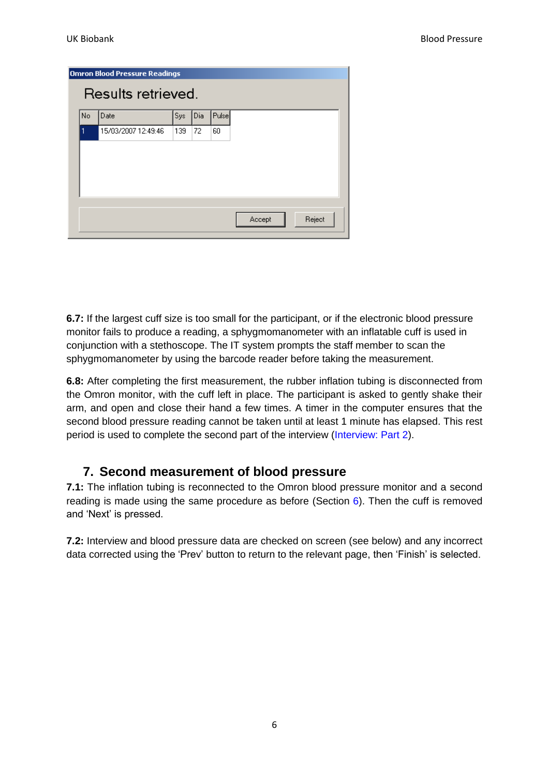| <b>Omron Blood Pressure Readings</b> |                     |     |     |       |                  |  |  |  |
|--------------------------------------|---------------------|-----|-----|-------|------------------|--|--|--|
| Results retrieved.                   |                     |     |     |       |                  |  |  |  |
| No                                   | Date                | Sys | Dia | Pulse |                  |  |  |  |
|                                      | 15/03/2007 12:49:46 | 139 | 72  | 60    |                  |  |  |  |
|                                      |                     |     |     |       |                  |  |  |  |
|                                      |                     |     |     |       |                  |  |  |  |
|                                      |                     |     |     |       |                  |  |  |  |
|                                      |                     |     |     |       |                  |  |  |  |
|                                      |                     |     |     |       |                  |  |  |  |
|                                      |                     |     |     |       | Reject<br>Accept |  |  |  |
|                                      |                     |     |     |       |                  |  |  |  |

**6.7:** If the largest cuff size is too small for the participant, or if the electronic blood pressure monitor fails to produce a reading, a sphygmomanometer with an inflatable cuff is used in conjunction with a stethoscope. The IT system prompts the staff member to scan the sphygmomanometer by using the barcode reader before taking the measurement.

**6.8:** After completing the first measurement, the rubber inflation tubing is disconnected from the Omron monitor, with the cuff left in place. The participant is asked to gently shake their arm, and open and close their hand a few times. A timer in the computer ensures that the second blood pressure reading cannot be taken until at least 1 minute has elapsed. This rest period is used to complete the second part of the interview (Interview: Part 2).

#### <span id="page-5-0"></span>**7. Second measurement of blood pressure**

**7.1:** The inflation tubing is reconnected to the Omron blood pressure monitor and a second reading is made using the same procedure as before (Section  $6$ ). Then the cuff is removed and "Next" is pressed.

**7.2:** Interview and blood pressure data are checked on screen (see below) and any incorrect data corrected using the "Prev" button to return to the relevant page, then "Finish" is selected.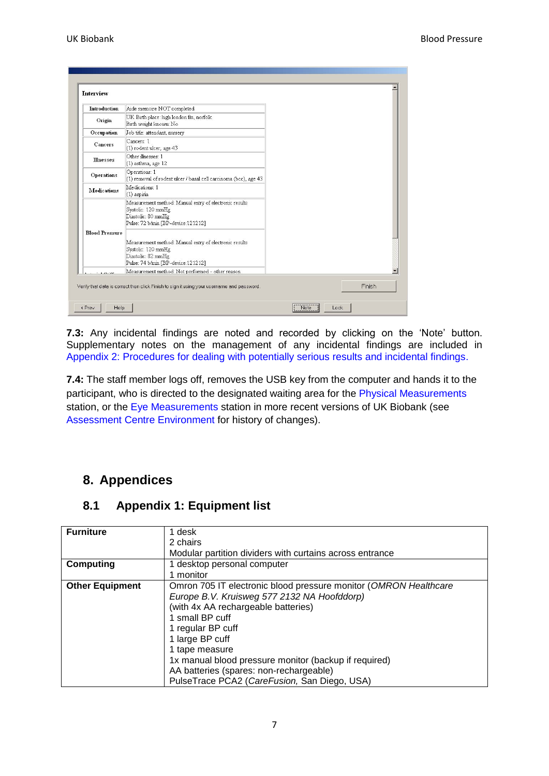| Introduction          | Aide memoire NOT completed                                                                                                               |  |  |
|-----------------------|------------------------------------------------------------------------------------------------------------------------------------------|--|--|
| Origin                | UK Birth place: high london fm, norfolk<br>Birth weight known: No                                                                        |  |  |
| Occupation            | Job title: attendant, nursery                                                                                                            |  |  |
| Cancers               | Cancers: 1<br>(1) rodent ulcer, age 43                                                                                                   |  |  |
| <b>Illnesses</b>      | Other illnesses: 1<br>$(1)$ asthma, age $12$                                                                                             |  |  |
| <b>Operations</b>     | Operations: 1<br>(1) removal of rodent ulcer / basal cell carcinoma (bcc), age 43                                                        |  |  |
| <b>Medications</b>    | Medications: 1<br>(1) aspirin                                                                                                            |  |  |
|                       | Measurement method: Manual entry of electronic results<br>Systolic: 120 mmHg<br>Diastolic: 80 mmHg<br>Pulse: 72 b/min [BP-device:121212] |  |  |
| <b>Blood Pressure</b> | Measurement method: Manual entry of electronic results<br>Systolic: 120 mmHg<br>Diastolic: 82 mmHg<br>Pulse: 74 b/min [BP-device:121212] |  |  |
| <b>COLORADO</b>       | Measurement method: Not performed - other reason                                                                                         |  |  |

**7.3:** Any incidental findings are noted and recorded by clicking on the "Note" button. Supplementary notes on the management of any incidental findings are included in Appendix 2: Procedures [for dealing with potentially serious results and incidental findings.](#page-7-0)

**7.4:** The staff member logs off, removes the USB key from the computer and hands it to the participant, who is directed to the designated waiting area for the Physical Measurements station, or the Eye Measurements station in more recent versions of UK Biobank (see Assessment Centre Environment for history of changes).

#### <span id="page-6-0"></span>**8. Appendices**

#### <span id="page-6-1"></span>**8.1 Appendix 1: Equipment list**

| <b>Furniture</b>       | 1 desk                                                           |
|------------------------|------------------------------------------------------------------|
|                        | 2 chairs                                                         |
|                        | Modular partition dividers with curtains across entrance         |
| <b>Computing</b>       | 1 desktop personal computer                                      |
|                        | 1 monitor                                                        |
| <b>Other Equipment</b> | Omron 705 IT electronic blood pressure monitor (OMRON Healthcare |
|                        | Europe B.V. Kruisweg 577 2132 NA Hoofddorp)                      |
|                        | (with 4x AA rechargeable batteries)                              |
|                        | 1 small BP cuff                                                  |
|                        | 1 regular BP cuff                                                |
|                        | 1 large BP cuff                                                  |
|                        | 1 tape measure                                                   |
|                        | 1x manual blood pressure monitor (backup if required)            |
|                        | AA batteries (spares: non-rechargeable)                          |
|                        | PulseTrace PCA2 (CareFusion, San Diego, USA)                     |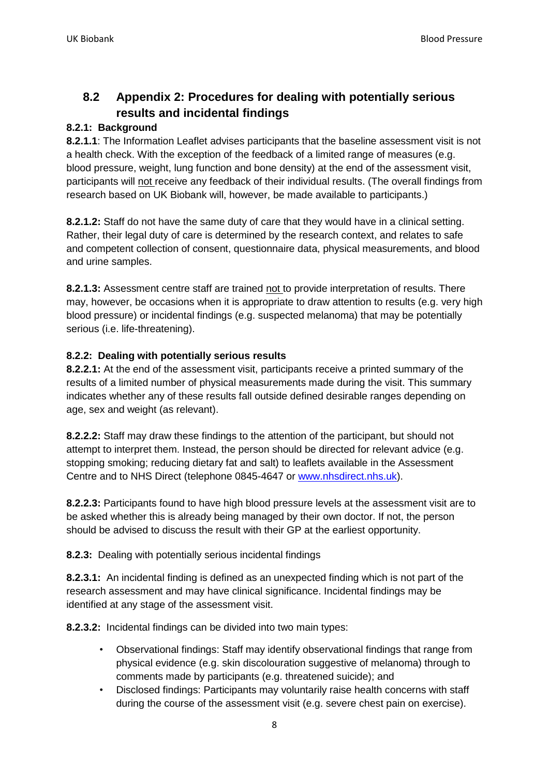#### <span id="page-7-0"></span>**8.2 Appendix 2: Procedures for dealing with potentially serious results and incidental findings**

#### **8.2.1: Background**

**8.2.1.1**: The Information Leaflet advises participants that the baseline assessment visit is not a health check. With the exception of the feedback of a limited range of measures (e.g. blood pressure, weight, lung function and bone density) at the end of the assessment visit, participants will not receive any feedback of their individual results. (The overall findings from research based on UK Biobank will, however, be made available to participants.)

**8.2.1.2:** Staff do not have the same duty of care that they would have in a clinical setting. Rather, their legal duty of care is determined by the research context, and relates to safe and competent collection of consent, questionnaire data, physical measurements, and blood and urine samples.

**8.2.1.3:** Assessment centre staff are trained not to provide interpretation of results. There may, however, be occasions when it is appropriate to draw attention to results (e.g. very high blood pressure) or incidental findings (e.g. suspected melanoma) that may be potentially serious (i.e. life-threatening).

#### **8.2.2: Dealing with potentially serious results**

**8.2.2.1:** At the end of the assessment visit, participants receive a printed summary of the results of a limited number of physical measurements made during the visit. This summary indicates whether any of these results fall outside defined desirable ranges depending on age, sex and weight (as relevant).

**8.2.2.2:** Staff may draw these findings to the attention of the participant, but should not attempt to interpret them. Instead, the person should be directed for relevant advice (e.g. stopping smoking; reducing dietary fat and salt) to leaflets available in the Assessment Centre and to NHS Direct (telephone 0845-4647 or [www.nhsdirect.nhs.uk\)](http://www.nhsdirect.nhs.uk/).

**8.2.2.3:** Participants found to have high blood pressure levels at the assessment visit are to be asked whether this is already being managed by their own doctor. If not, the person should be advised to discuss the result with their GP at the earliest opportunity.

**8.2.3:** Dealing with potentially serious incidental findings

**8.2.3.1:** An incidental finding is defined as an unexpected finding which is not part of the research assessment and may have clinical significance. Incidental findings may be identified at any stage of the assessment visit.

**8.2.3.2:** Incidental findings can be divided into two main types:

- Observational findings: Staff may identify observational findings that range from physical evidence (e.g. skin discolouration suggestive of melanoma) through to comments made by participants (e.g. threatened suicide); and
- Disclosed findings: Participants may voluntarily raise health concerns with staff during the course of the assessment visit (e.g. severe chest pain on exercise).